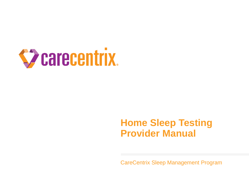

## **Home Sleep Testing Provider Manual**

CareCentrix Sleep Management Program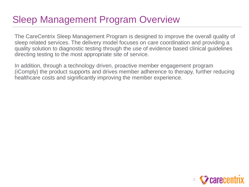# Sleep Management Program Overview

The CareCentrix Sleep Management Program is designed to improve the overall quality of sleep related services. The delivery model focuses on care coordination and providing a quality solution to diagnostic testing through the use of evidence based clinical guidelines directing testing to the most appropriate site of service.

In addition, through a technology driven, proactive member engagement program (iComply) the product supports and drives member adherence to therapy, further reducing healthcare costs and significantly improving the member experience.

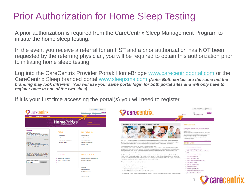# Prior Authorization for Home Sleep Testing

A prior authorization is required from the CareCentrix Sleep Management Program to initiate the home sleep testing.

In the event you receive a referral for an HST and a prior authorization has NOT been requested by the referring physician, you will be required to obtain this authorization prior to initiating home sleep testing.

Log into the CareCentrix Provider Portal: HomeBridge [www.carecentrixportal.com](http://www.carecentrixportal.com/) or the CareCentrix Sleep branded portal [www.sleepsms.com](http://www.sleepsms.com/) *(Note: Both portals are the same but the branding may look different. You will use your same portal login for both portal sites and will only have to register once in one of the two sites)*

If it is your first time accessing the portal(s) you will need to register.

| arecentrix.<br><b>Authorizations</b><br><b>Claims</b>                                                                                                                                                                                                                                                                                                                                                                                                                                                                                                                                                                                                                                                                                                                                                  |                                                                                                                                                                                                                                                                                                                                                    | Contact Us   Help<br>SIGN IN<br>Username<br>Password<br>Register<br>Forgot Password?                                                                                                                                                                                                                                                                                                                                            | Carecentrix.                                                                                                                                                                                                                                                                                                                                                                                                                                                                                                                                                                                                                                                                                                                                                                                                                                                                                                                                                                                                                                                                                                                                                                                                                                                                                                                                                                                                                                                                                                                                                                                                                                                                                                                                             | Contact Us   7 Help<br><b>SIGN IN</b><br>Username<br>Password<br>Forgot Password?<br>Register                                                                                                                                                                                                                                                                                                                                                                                                                                                                                                                                                                                                                                                                                                                                                          |
|--------------------------------------------------------------------------------------------------------------------------------------------------------------------------------------------------------------------------------------------------------------------------------------------------------------------------------------------------------------------------------------------------------------------------------------------------------------------------------------------------------------------------------------------------------------------------------------------------------------------------------------------------------------------------------------------------------------------------------------------------------------------------------------------------------|----------------------------------------------------------------------------------------------------------------------------------------------------------------------------------------------------------------------------------------------------------------------------------------------------------------------------------------------------|---------------------------------------------------------------------------------------------------------------------------------------------------------------------------------------------------------------------------------------------------------------------------------------------------------------------------------------------------------------------------------------------------------------------------------|----------------------------------------------------------------------------------------------------------------------------------------------------------------------------------------------------------------------------------------------------------------------------------------------------------------------------------------------------------------------------------------------------------------------------------------------------------------------------------------------------------------------------------------------------------------------------------------------------------------------------------------------------------------------------------------------------------------------------------------------------------------------------------------------------------------------------------------------------------------------------------------------------------------------------------------------------------------------------------------------------------------------------------------------------------------------------------------------------------------------------------------------------------------------------------------------------------------------------------------------------------------------------------------------------------------------------------------------------------------------------------------------------------------------------------------------------------------------------------------------------------------------------------------------------------------------------------------------------------------------------------------------------------------------------------------------------------------------------------------------------------|--------------------------------------------------------------------------------------------------------------------------------------------------------------------------------------------------------------------------------------------------------------------------------------------------------------------------------------------------------------------------------------------------------------------------------------------------------------------------------------------------------------------------------------------------------------------------------------------------------------------------------------------------------------------------------------------------------------------------------------------------------------------------------------------------------------------------------------------------------|
| <b>NEWS FLASH</b><br>09/25/2018<br>Chat With Us - Technical Issues<br>To inform providers who are using the "Chat with Us"<br>feature on the Provider Portal: HomeBridge that the<br>chat box may close unexpectedly due to the browser<br>cache being full.<br>Read More<br>09/21/2018<br>Florida Blue Phone Menu Update<br>To inform providers servicing Florida Blue members that<br>CareCentrix has recently updated our call menu and<br>options for the Florida Blue 800 number.<br>Read More<br>09/21/2018<br><b>Chat with Us!</b><br>You spoke we listened! CareCentrix is excited to<br>announce uperades and enhancements to our Provider<br>Portal: HomeBridgeSM, Chat With Us tool!<br>Read More<br><b>Receive Email Updates</b><br>Email Address<br>Subscribe<br><b>Newzflesh Archive</b> | <b>Home</b> Bridge <sup>®</sup><br><b>FROM CARECENTRIX</b><br><b>TOOLS</b><br>(FOR REGISTERED USERS ONLY)<br>Authorizations<br>F claims<br><b>J</b> SleepUM-PatientManagement<br><b>Nember Transition</b><br><b>SUPPORT</b><br>Register for Provider Portal<br>Sign Up for Electronic Claims<br>Contact Portal Support<br>F EFT and ERA Enrollment | <b>LEARN MORE &gt;</b><br><b>FOR PROVIDERS</b><br><b>F</b> Join Our Network<br><b>F</b> Provider Manual<br>Resources and Forms<br><b>N</b> Medical Coverage Policies<br><b>Nejection Guide</b><br><b>EDUCATION CENTER</b><br>Provider Onboarding Reference Guide<br>F Eligibility and Benefits<br><b>F</b> CareCentrix Direct<br><b>F</b> Claims<br>$k$ Claims 2.0<br><b>Nember Transition</b><br><b>N</b> Health Plan Exchange | Welcome to the Sleep Management Portal<br>This portal is intended to support providers in requesting authorizations for sleep services and managing your<br>patients sleep service needs across the sleep management continuum. The program is a prior-authorization program<br>designed to improve the overall quality of sleep related services from diagnosis to therapeutic management.<br>A Medical Necessity approval will be required prior to performing a sleep<br>study, initiating sleep therapy, and ordering sleep therapy supplies in order to receive claim payment. All requests for<br>sleep services will be reviewed and assessed for medical necessity and site of service using evidence based and industry<br>accepted medical criteria. Please refer to the Sleep Management Programs medical criteria prior to submitting your<br>authorization request for sleep services.<br>In addition we will provide a comprehensive support program for patients who require treatment for Obstructive Sleep<br>Apnea and are prescribed a Positive Airway Pressure (PAP) device. The sleep therapy adherence program, iComply is<br>intended to assist patients in adapting to their therapy and maintaining a level of therapy adherence in order to ensure that<br>members achieve the maximum therapeutic benefits of the prescribed treatment.<br>This secure portal will allow contracted providers to:<br>· Check member eligibility<br>· Request authorization for sleep related services<br>· Report sleep study interpretation results<br>· Report PAP therapy adherence for continued benefit coverage<br>Providers may provide input to Sleep Management Solutions (SMS) regarding the utilization review criteria applied by | <b>NEWS FLASH</b><br>Importance of Providing Correct Ordering Physician<br>Information<br>June 22nd, 2013<br>This is to remind you about the importance of providing<br>current and correct ordering physician information with<br>each authorization request and to introduce new<br>provider portal functionality relating to ordering<br>physician information<br>Read More>><br><b>QUICK LINKS</b><br>· Sleep Management Solutions<br>· To access SleepLIM Click Here<br>FLBlue Sleep Fax Request Form and Contact<br>Info<br>· Florida Blue Program Module<br>· Fallon Medical Criteria<br>· Fallon Fax Request Form<br>· Fallon Contact Information and Hours<br>· PEIA Medical Criteria<br>· PEIA Fax Request Form<br>· NHP Medical Criteria<br>· NHP Fax Request Form<br>. NHP Contact Information and Hours<br>· Sleep Portal Training Module |
|                                                                                                                                                                                                                                                                                                                                                                                                                                                                                                                                                                                                                                                                                                                                                                                                        |                                                                                                                                                                                                                                                                                                                                                    | <b>BlueCard</b><br><b>NOMNC Training</b>                                                                                                                                                                                                                                                                                                                                                                                        |                                                                                                                                                                                                                                                                                                                                                                                                                                                                                                                                                                                                                                                                                                                                                                                                                                                                                                                                                                                                                                                                                                                                                                                                                                                                                                                                                                                                                                                                                                                                                                                                                                                                                                                                                          | ect                                                                                                                                                                                                                                                                                                                                                                                                                                                                                                                                                                                                                                                                                                                                                                                                                                                    |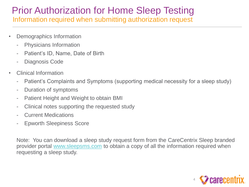## Prior Authorization for Home Sleep Testing Information required when submitting authorization request

- Demographics Information
	- Physicians Information
	- Patient's ID, Name, Date of Birth
	- Diagnosis Code
- Clinical Information
	- Patient's Complaints and Symptoms (supporting medical necessity for a sleep study)
	- Duration of symptoms
	- Patient Height and Weight to obtain BMI
	- Clinical notes supporting the requested study
	- **Current Medications**
	- Epworth Sleepiness Score

Note: You can download a sleep study request form from the CareCentrix Sleep branded provider portal [www.sleepsms.com](http://www.sleepsms.com/) to obtain a copy of all the information required when requesting a sleep study.

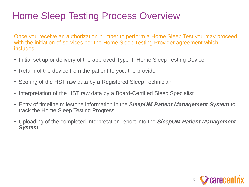# Home Sleep Testing Process Overview

Once you receive an authorization number to perform a Home Sleep Test you may proceed with the initiation of services per the Home Sleep Testing Provider agreement which includes:

- Initial set up or delivery of the approved Type III Home Sleep Testing Device.
- Return of the device from the patient to you, the provider
- Scoring of the HST raw data by a Registered Sleep Technician
- Interpretation of the HST raw data by a Board-Certified Sleep Specialist
- Entry of timeline milestone information in the *SleepUM Patient Management System* to track the Home Sleep Testing Progress
- Uploading of the completed interpretation report into the *SleepUM Patient Management System*.

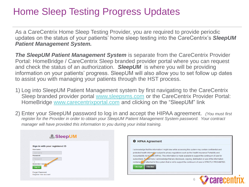# Home Sleep Testing Progress Updates

As a CareCentrix Home Sleep Testing Provider, you are required to provide periodic updates on the status of your patients' home sleep testing into the CareCentrix's *SleepUM Patient Management System.*

**The SleepUM Patient Management System** is separate from the CareCentrix Provider Portal: HomeBridge / CareCentrix Sleep branded provider portal where you can request and check the status of an authorization. *SleepUM* is where you will be providing information on your patients' progress. SleepUM will also allow you to set follow up dates to assist you with managing your patients through the HST process.

- 1) Log into SleepUM Patient Management system by first navigating to the CareCentrix Sleep branded provider portal [www.sleepsms.com](http://www.sleepsms.com/) or the CareCentrix Provider Portal: HomeBridge [www.carecentrixportal.com](http://www.carecentrixportal.com/) and clicking on the "SleepUM" link
- 2) Enter your SleepUM password to log in and accept the HIPAA agreement. *(You must first register for the Provider in order to obtain your SleepUM Patient Management System password. Your contract manager will have provided this information to you during your initial training.*

| Sign in with your registered ID<br>Username: |  |
|----------------------------------------------|--|
| Usemame                                      |  |
| Password:                                    |  |
| Password                                     |  |
|                                              |  |
| Remember User and<br>Sign in                 |  |

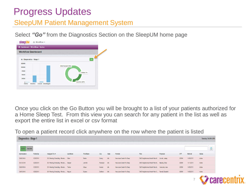#### SleepUM Patient Management System

Select *"Go"* from the Diagnostics Section on the SleepUM home page



Once you click on the Go Button you will be brought to a list of your patients authorized for a Home Sleep Test. From this view you can search for any patient in the list as well as export the entire list in excel or csv format

To open a patient record click anywhere on the row where the patient is listed

| Diagnostics - Stage 1<br>Tuesday, Feb 9th 2016 |            |                                          |           |                   |             |              |                            |                                                   |           |            |            |               |  |
|------------------------------------------------|------------|------------------------------------------|-----------|-------------------|-------------|--------------|----------------------------|---------------------------------------------------|-----------|------------|------------|---------------|--|
| Active<br>Inactive                             |            |                                          |           |                   |             |              |                            |                                                   |           |            |            |               |  |
| Authorization                                  | Follow-Up  | Assigned To A                            | Last Name | <b>First Name</b> | City        | <b>State</b> | Provider                   | Plan                                              | Physician | <b>CPT</b> | Referral   | <b>Status</b> |  |
| 38083066                                       | 12/28/2015 | 00 - Pending Scheduling - Render, Chen   |           | Baslie            | Quincy      | <b>MA</b>    | Neurocare Center For Sleep | SMS Neighborhood Health Plan M Lincoln, Lesiley   |           | G0399      | 11/05/2015 | Active        |  |
| 38191344                                       | 12/28/2015 | 00 - Pending Scheduling - Render, Sawyer |           | Jennifer          | Randolph MA |              | Neurocare Center For Sleep | SMS Neighborhood Health Plan M Mulcahy, Elisa     |           | G0399      | 11/11/2015 | Active        |  |
| 38089014                                       | 12/28/2015 | 00 - Pending Scheduling - Render, Tiekka |           | Kibwe             | Newton      | MA           | Neurocare Center For Sleep | SMS Neighborhood Health Plan M Vernovsky, Inna    |           | G0399      | 11/05/2015 | Active        |  |
| 38092043                                       | 12/28/2015 | 00 - Pending Scheduling - Render, Negron |           | Bryana            | Dedham      | MA           | Neurocare Center For Sleep | SMS Neighborhood Health Plan C Tarnell, Elizabeth |           | G0399      | 11/05/2015 | Active        |  |

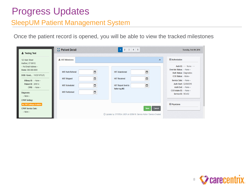#### SleepUM Patient Management System

Once the patient record is opened, you will be able to view the tracked milestones

| Festing Test                                                                                                                                                                                                                                | <b>A</b> <sup>z</sup> Patient Detail                                                                                                        | $1 \quad 2 \quad 3 \quad 4 \quad 5$                                                                                         | Tuesday, Feb 9th 2016                                                                                                                                                                                                                                                 |
|---------------------------------------------------------------------------------------------------------------------------------------------------------------------------------------------------------------------------------------------|---------------------------------------------------------------------------------------------------------------------------------------------|-----------------------------------------------------------------------------------------------------------------------------|-----------------------------------------------------------------------------------------------------------------------------------------------------------------------------------------------------------------------------------------------------------------------|
| 123 Main Street<br>Hartford, CT 06112<br>-- No Email Address --<br>Home: 999-999-9999<br>DOB / Gend 11/20/1978 (F)<br>USleep ID: $-$ None $-$<br>Patient ID: 241914<br>$CPID: - None -$<br>Diagnosis:<br>-- None --<br><b>CPAP Setting:</b> | A HST Milestones<br>Ö<br><b>HST Auth Referral</b><br>Ö<br><b>HST Shipped</b><br>Ö<br><b>HST Scheduled</b><br>$\Box$<br><b>HST Performed</b> | $\lambda$<br>ö<br><b>HST Abandoned</b><br>ä<br><b>HST Received</b><br>ä<br><b>HST Report Sent to</b><br><b>Referring MD</b> | <b>El Authorization</b><br>Auth ID: -- None --<br>Override Status: - None --<br><b>Auth Status: Diagnostics</b><br>CCX Status: -None--<br>Service Date: -- None --<br>Auth Start: 02/09/2016<br>Auth End: - None --<br>CCX Intake ID: - None --<br>Service ID: 563452 |
| <b>No PAP Settings Available</b><br><b>CPAP Service Date:</b><br>-- None --                                                                                                                                                                 |                                                                                                                                             | <b>Save</b><br>Cancel<br>© Updated by: SYSTEM USER on 02/09/16: Service Action / Service Created                            | <b>El Physicians</b>                                                                                                                                                                                                                                                  |

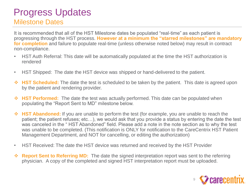## Progress Updates Milestone Dates

It is recommended that all of the HST Milestone dates be populated "real-time" as each patient is progressing through the HST process. **However at a minimum the "starred milestones" are mandatory for completion** and failure to populate real-time (unless otherwise noted below) may result in contract non-compliance.

- HST Auth Referral: This date will be automatically populated at the time the HST authorization is rendered
- HST Shipped: The date the HST device was shipped or hand-delivered to the patient.
- **HST Scheduled:** The date the test is scheduled to be taken by the patient. This date is agreed upon by the patient and rendering provider.
- **HST Performed:** The date the test was actually performed. This date can be populated when populating the "Report Sent to MD" milestone below.
- **HST Abandoned:** If you are unable to perform the test (for example, you are unable to reach the patient; the patient refuses; etc…), we would ask that you provide a status by entering the date the test was canceled in the " HST Abandoned" field. Please add a note in the note section as to why the test was unable to be completed. (This notification is ONLY for notification to the CareCentrix HST Patient Management Department, and NOT for cancelling, or editing the authorization)
- HST Received: The date the HST device was returned and received by the HST Provider
- **Report Sent to Referring MD:** The date the signed interpretation report was sent to the referring physician. A copy of the completed and signed HST interpretation report must be uploaded.

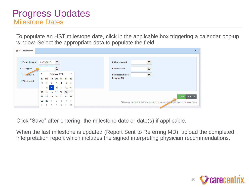#### Progress Updates Milestone Dates

To populate an HST milestone date, click in the applicable box triggering a calendar pop-up window. Select the appropriate data to populate the field

| <b>A</b> HST Milestones  |                |        |                |               |               |                      |               |                                                                                      |
|--------------------------|----------------|--------|----------------|---------------|---------------|----------------------|---------------|--------------------------------------------------------------------------------------|
|                          |                |        |                |               |               |                      |               |                                                                                      |
| <b>HST Auth Referral</b> | 11/05/2015     |        |                | Ö             |               |                      |               | Ö<br><b>HST Abandoned</b>                                                            |
| <b>HST Shipped</b>       |                |        |                | ä             |               |                      |               | Ö<br><b>HST Received</b>                                                             |
| <b>HST Scrieduled</b>    | ٠              |        |                |               | February 2016 |                      | $\rightarrow$ | Ö<br><b>HST Report Sent to</b>                                                       |
|                          |                |        |                |               |               | Su Mo Tu We Th Fr Sa |               | <b>Referring MD</b>                                                                  |
| <b>HST Performed</b>     | 31             |        | $\overline{2}$ | 3             | $\mathbf{A}$  | 5.                   | -6            |                                                                                      |
|                          | $\overline{7}$ | 8      | 9              | 10            | 11            | $12 \quad 13$        |               |                                                                                      |
|                          | 14             | 15     | 16             | 17            | 18            | 19                   | 20            |                                                                                      |
|                          | 21             | 22     | 23             | 24            | - 25          | 26                   | - 27          | <b>Save</b><br>Cancel                                                                |
|                          | 28             | 29     |                | $\mathcal{P}$ | $\mathbf{3}$  | $\overline{4}$       | $-5$          | © Updated by: ELAINE CROSBY on 12/21/15: Service Follow Up / Contact Provider, Email |
|                          | 6              | $\tau$ | 8              | -9            | 10            | 11 12                |               |                                                                                      |

Click "Save" after entering the milestone date or date(s) if applicable.

When the last milestone is updated (Report Sent to Referring MD), upload the completed interpretation report which includes the signed interpreting physician recommendations.

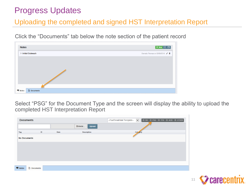#### Uploading the completed and signed HST Interpretation Report

Click the "Documents" tab below the note section of the patient record

| <b>Notes</b>       | + New X □                        |
|--------------------|----------------------------------|
| > Initial Outreach | Damalia Thomas on 02/09/2016 / 亩 |
|                    |                                  |
|                    |                                  |
|                    |                                  |
|                    |                                  |
|                    |                                  |
|                    |                                  |
|                    |                                  |

Select "PSG" for the Document Type and the screen will display the ability to upload the completed HST Interpretation Report



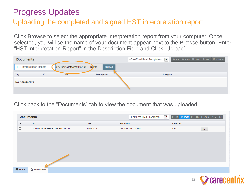#### Uploading the completed and signed HST interpretation report

Click Browse to select the appropriate interpretation report from your computer. Once selected, you will se the name of your document appear next to the Browse button. Enter "HST Interpretation Report" in the Description Field and Click "Upload"

| <b>Documents</b>                 |    |                               |                    | BRX BPSG BTTR BAOB BOTHER<br>$\vee$<br>-Fax/Email/Mail Template-- |
|----------------------------------|----|-------------------------------|--------------------|-------------------------------------------------------------------|
| <b>HST Interpretation Report</b> |    | C:\Users\ddthoma\Docum Browse | <b>Upload</b>      |                                                                   |
| Tag                              | ID | <b>Date</b>                   | <b>Description</b> | Category                                                          |
| <b>No Documents</b>              |    |                               |                    |                                                                   |
|                                  |    |                               |                    |                                                                   |

#### Click back to the "Documents" tab to view the document that was uploaded

| <b>Documents</b>     |                                      |            | $\checkmark$<br>-Fax/Email/Mail Template-- | BRX BPSG BTTR BAOB BOTHER     |  |
|----------------------|--------------------------------------|------------|--------------------------------------------|-------------------------------|--|
| Tag                  | ID                                   | Date       | <b>Description</b>                         | Category                      |  |
| $\Box$               | e5a65aa5-2b45-442d-a3da-64af660a75de | 02/09/2016 | <b>Hst Interpretation Report</b>           | Psg<br>$\widehat{\mathbb{m}}$ |  |
|                      |                                      |            |                                            |                               |  |
|                      |                                      |            |                                            |                               |  |
|                      |                                      |            |                                            |                               |  |
|                      |                                      |            |                                            |                               |  |
|                      |                                      |            |                                            |                               |  |
|                      |                                      |            |                                            |                               |  |
| $\blacksquare$ Notes | <b>D</b> Documents                   |            |                                            |                               |  |

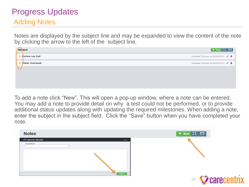## Progress Updates Adding Notes

Notes are displayed by the subject line and may be expanded to view the content of the note by clicking the arrow to the left of the subject line.

|  | $+$ New $\sum$ $\Box$<br><b>Notes</b>                  |  |
|--|--------------------------------------------------------|--|
|  | > Follow Up Call<br>Damalia Thomas on 02/09/2016 / 亩   |  |
|  | > Initial Outreach<br>Damalia Thomas on 02/09/2016 / 亩 |  |
|  |                                                        |  |
|  |                                                        |  |
|  |                                                        |  |

To add a note click "New". This will open a pop-up window, where a note can be entered. You may add a note to provide detail on why a test could not be performed, or to provide additional status updates along with updating the required milestones. When adding a note, enter the subject in the subject field. Click the "Save" button when you have completed your note.

| <b>Notes</b>                  |                   | $+$ New $\left[\begin{matrix} x & \Box \end{matrix}\right]$ |
|-------------------------------|-------------------|-------------------------------------------------------------|
| <b>口 New Note</b><br>Subject: | $\mathbf{\times}$ |                                                             |
|                               |                   |                                                             |
|                               |                   |                                                             |
|                               | <b>Save</b>       | <b>13 SZ carecent</b>                                       |